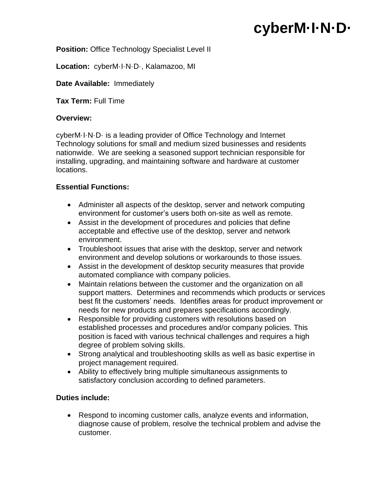# **cyberM·I·N·D·**

#### **Position: Office Technology Specialist Level II**

**Location:** cyberM·I·N·D·, Kalamazoo, MI

#### **Date Available:** Immediately

**Tax Term:** Full Time

#### **Overview:**

cyberM·I·N·D· is a leading provider of Office Technology and Internet Technology solutions for small and medium sized businesses and residents nationwide. We are seeking a seasoned support technician responsible for installing, upgrading, and maintaining software and hardware at customer locations.

## **Essential Functions:**

- Administer all aspects of the desktop, server and network computing environment for customer's users both on-site as well as remote.
- Assist in the development of procedures and policies that define acceptable and effective use of the desktop, server and network environment.
- Troubleshoot issues that arise with the desktop, server and network environment and develop solutions or workarounds to those issues.
- Assist in the development of desktop security measures that provide automated compliance with company policies.
- Maintain relations between the customer and the organization on all support matters. Determines and recommends which products or services best fit the customers' needs. Identifies areas for product improvement or needs for new products and prepares specifications accordingly.
- Responsible for providing customers with resolutions based on established processes and procedures and/or company policies. This position is faced with various technical challenges and requires a high degree of problem solving skills.
- Strong analytical and troubleshooting skills as well as basic expertise in project management required.
- Ability to effectively bring multiple simultaneous assignments to satisfactory conclusion according to defined parameters.

# **Duties include:**

 Respond to incoming customer calls, analyze events and information, diagnose cause of problem, resolve the technical problem and advise the customer.